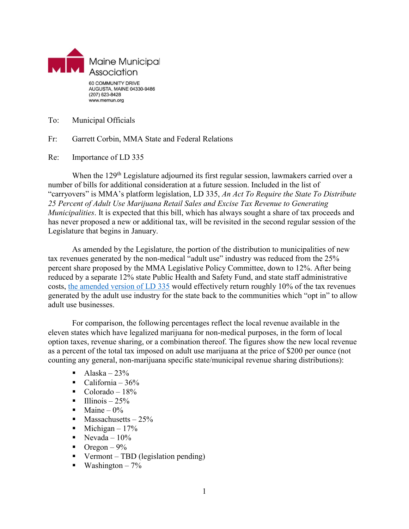

To: Municipal Officials

Fr: Garrett Corbin, MMA State and Federal Relations

Re: Importance of LD 335

When the 129<sup>th</sup> Legislature adjourned its first regular session, lawmakers carried over a number of bills for additional consideration at a future session. Included in the list of "carryovers" is MMA's platform legislation, LD 335, *An Act To Require the State To Distribute 25 Percent of Adult Use Marijuana Retail Sales and Excise Tax Revenue to Generating Municipalities*. It is expected that this bill, which has always sought a share of tax proceeds and has never proposed a new or additional tax, will be revisited in the second regular session of the Legislature that begins in January.

As amended by the Legislature, the portion of the distribution to municipalities of new tax revenues generated by the non-medical "adult use" industry was reduced from the 25% percent share proposed by the MMA Legislative Policy Committee, down to 12%. After being reduced by a separate 12% state Public Health and Safety Fund, and state staff administrative costs, [the amended version of LD 335](http://www.mainelegislature.org/legis/bills/getPDF.asp?paper=HP0260&item=2&snum=129) would effectively return roughly 10% of the tax revenues generated by the adult use industry for the state back to the communities which "opt in" to allow adult use businesses.

For comparison, the following percentages reflect the local revenue available in the eleven states which have legalized marijuana for non-medical purposes, in the form of local option taxes, revenue sharing, or a combination thereof. The figures show the new local revenue as a percent of the total tax imposed on adult use marijuana at the price of \$200 per ounce (not counting any general, non-marijuana specific state/municipal revenue sharing distributions):

- $\blacksquare$  Alaska 23%
- California  $36\%$
- $\blacksquare$  Colorado 18%
- $\blacksquare$  Illinois 25%
- $\blacksquare$  Maine 0%
- $\blacksquare$  Massachusetts 25%
- $\blacksquare$  Michigan 17%
- $\blacksquare$  Nevada 10%
- $\blacksquare$  Oregon 9%
- Vermont TBD (legislation pending)
- $\blacksquare$  Washington 7%